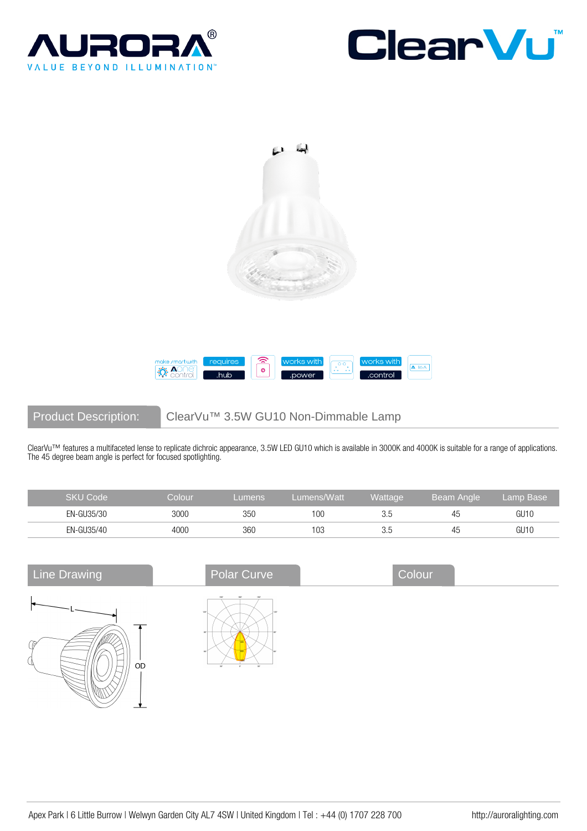







Product Description: ClearVu™ 3.5W GU10 Non-Dimmable Lamp

ClearVu™ features a multifaceted lense to replicate dichroic appearance, 3.5W LED GU10 which is available in 3000K and 4000K is suitable for a range of applications. The 45 degree beam angle is perfect for focused spotlighting.

| SKU Code   | Colour | <b>Lumens</b> | Lumens/Watt | Wattage | Beam Angle | Lamp Base |
|------------|--------|---------------|-------------|---------|------------|-----------|
| EN-GU35/30 | 3000   | 350           | 100         | 3.5     | 45         | GU1C      |
| EN-GU35/40 | 4000   | 360           | 103         | 3.5     | 45         | GU1C      |

| <b>Line Drawing</b> | Polar Curve                                       | Colour |  |
|---------------------|---------------------------------------------------|--------|--|
| -69<br>OD           | 1501<br>150°<br>180°<br>1207<br>ar.<br><b>SOF</b> |        |  |